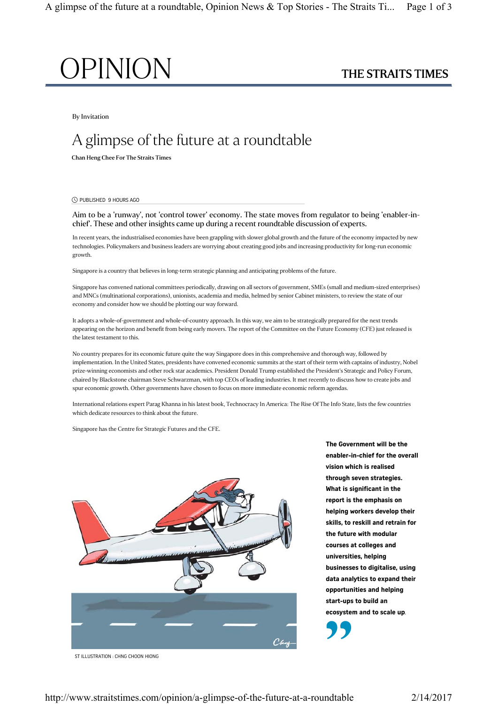

By Invitation

# A glimpse of the future at a roundtable

Chan Heng Chee For The Straits Times

PUBLISHED 9 HOURS AGO [

Aim to be a 'runway', not 'control tower' economy. The state moves from regulator to being 'enabler-inchief'. These and other insights came up during a recent roundtable discussion of experts.

In recent years, the industrialised economies have been grappling with slower global growth and the future of the economy impacted by new technologies. Policymakers and business leaders are worrying about creating good jobs and increasing productivity for long-run economic growth.

Singapore is a country that believes in long-term strategic planning and anticipating problems of the future.

Singapore has convened national committees periodically, drawing on all sectors of government, SMEs (small and medium-sized enterprises) and MNCs (multinational corporations), unionists, academia and media, helmed by senior Cabinet ministers, to review the state of our economy and consider how we should be plotting our way forward.

It adopts a whole-of-government and whole-of-country approach. In this way, we aim to be strategically prepared for the next trends appearing on the horizon and benefit from being early movers. The report of the Committee on the Future Economy (CFE) just released is the latest testament to this.

No country prepares for its economic future quite the way Singapore does in this comprehensive and thorough way, followed by implementation. In the United States, presidents have convened economic summits at the start of their term with captains of industry, Nobel prize-winning economists and other rock star academics. President Donald Trump established the President's Strategic and Policy Forum, chaired by Blackstone chairman Steve Schwarzman, with top CEOs of leading industries. It met recently to discuss how to create jobs and spur economic growth. Other governments have chosen to focus on more immediate economic reform agendas.

International relations expert Parag Khanna in his latest book, Technocracy In America: The Rise Of The Info State, lists the few countries which dedicate resources to think about the future.

Singapore has the Centre for Strategic Futures and the CFE.



The Government will be the enabler-in-chief for the overall vision which is realised through seven strategies. What is significant in the report is the emphasis on helping workers develop their skills, to reskill and retrain for the future with modular courses at colleges and universities, helping businesses to digitalise, using data analytics to expand their opportunities and helping start-ups to build an ecosystem and to scale up. "

ST ILLUSTRATION : CHNG CHOON HIONG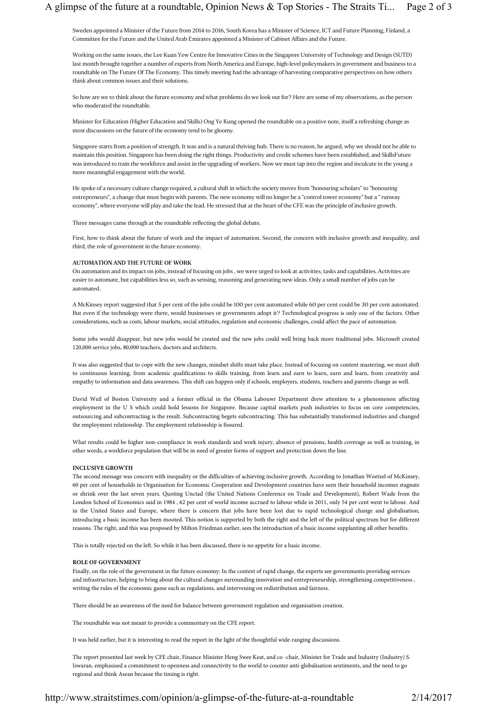Sweden appointed a Minister of the Future from 2014 to 2016, South Korea has a Minister of Science, ICT and Future Planning, Finland, a Committee for the Future and the United Arab Emirates appointed a Minister of Cabinet Affairs and the Future.

Working on the same issues, the Lee Kuan Yew Centre for Innovative Cities in the Singapore University of Technology and Design (SUTD) last month brought together a number of experts from North America and Europe, high-level policymakers in government and business to a roundtable on The Future Of The Economy. This timely meeting had the advantage of harvesting comparative perspectives on how others think about common issues and their solutions.

So how are we to think about the future economy and what problems do we look out for? Here are some of my observations, as the person who moderated the roundtable.

Minister for Education (Higher Education and Skills) Ong Ye Kung opened the roundtable on a positive note, itself a refreshing change as most discussions on the future of the economy tend to be gloomy.

Singapore starts from a position of strength. It was and is a natural thriving hub. There is no reason, he argued, why we should not be able to maintain this position. Singapore has been doing the right things. Productivity and credit schemes have been established, and SkillsFuture was introduced to train the workforce and assist in the upgrading of workers. Now we must tap into the region and inculcate in the young a more meaningful engagement with the world.

He spoke of a necessary culture change required, a cultural shift in which the society moves from "honouring scholars" to "honouring entrepreneurs", a change that must begin with parents. The new economy will no longer be a "control tower economy" but a " runway economy", where everyone will play and take the lead. He stressed that at the heart of the CFE was the principle of inclusive growth.

Three messages came through at the roundtable reflecting the global debate.

First, how to think about the future of work and the impact of automation. Second, the concern with inclusive growth and inequality, and third, the role of government in the future economy.

## AUTOMATION AND THE FUTURE OF WORK

On automation and its impact on jobs, instead of focusing on jobs , we were urged to look at activities, tasks and capabilities. Activities are easier to automate, but capabilities less so, such as sensing, reasoning and generating new ideas. Only a small number of jobs can be automated.

A McKinsey report suggested that 5 per cent of the jobs could be 100 per cent automated while 60 per cent could be 30 per cent automated. But even if the technology were there, would businesses or governments adopt it? Technological progress is only one of the factors. Other considerations, such as costs, labour markets, social attitudes, regulation and economic challenges, could affect the pace of automation.

Some jobs would disappear, but new jobs would be created and the new jobs could well bring back more traditional jobs. Microsoft created 120,000 service jobs, 80,000 teachers, doctors and architects.

It was also suggested that to cope with the new changes, mindset shifts must take place. Instead of focusing on content mastering, we must shift to continuous learning, from academic qualifications to skills training, from learn and earn to learn, earn and learn, from creativity and empathy to information and data awareness. This shift can happen only if schools, employers, students, teachers and parents change as well.

David Weil of Boston University and a former official in the Obama Labouwr Department drew attention to a phenomenon affecting employment in the U S which could hold lessons for Singapore. Because capital markets push industries to focus on core competencies, outsourcing and subcontracting is the result. Subcontracting begets subcontracting. This has substantially transformed industries and changed the employment relationship. The employment relationship is fissured.

What results could be higher non-compliance in work standards and work injury, absence of pensions, health coverage as well as training, in other words, a workforce population that will be in need of greater forms of support and protection down the line.

#### **INCLUSIVE GROWTH**

The second message was concern with inequality or the difficulties of achieving inclusive growth. According to Jonathan Woetzel of McKinsey, 60 per cent of households in Organisation for Economic Cooperation and Development countries have seen their household incomes stagnate or shrink over the last seven years. Quoting Unctad (the United Nations Conference on Trade and Development), Robert Wade from the London School of Economics said in 1984 , 62 per cent of world income accrued to labour while in 2011, only 54 per cent went to labour. And in the United States and Europe, where there is concern that jobs have been lost due to rapid technological change and globalisation, introducing a basic income has been mooted. This notion is supported by both the right and the left of the political spectrum but for different reasons. The right, and this was proposed by Milton Friedman earlier, sees the introduction of a basic income supplanting all other benefits.

This is totally rejected on the left. So while it has been discussed, there is no appetite for a basic income.

### **ROLE OF GOVERNMENT**

Finally, on the role of the government in the future economy: In the context of rapid change, the experts see governments providing services and infrastructure, helping to bring about the cultural changes surrounding innovation and entrepreneurship, strengthening competitiveness , writing the rules of the economic game such as regulations, and intervening on redistribution and fairness.

There should be an awareness of the need for balance between government regulation and organisation creation.

The roundtable was not meant to provide a commentary on the CFE report.

It was held earlier, but it is interesting to read the report in the light of the thoughtful wide-ranging discussions.

The report presented last week by CFE chair, Finance Minister Heng Swee Keat, and co -chair, Minister for Trade and Industry (Industry) S. Iswaran, emphasised a commitment to openness and connectivity to the world to counter anti-globalisation sentiments, and the need to go regional and think Asean because the timing is right.